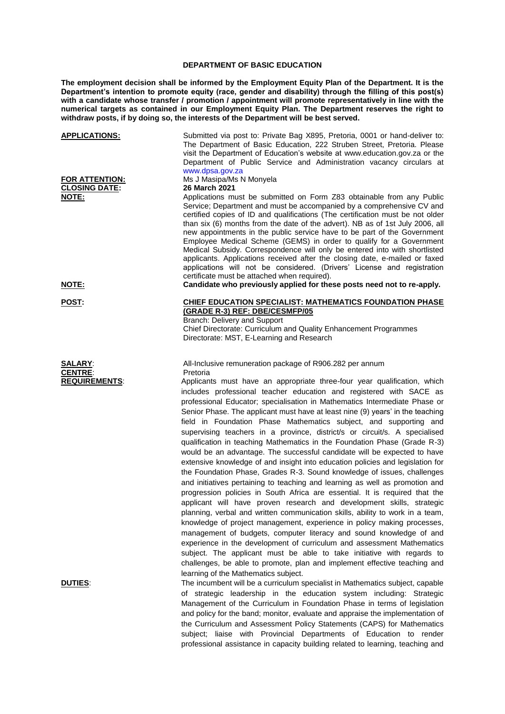## **DEPARTMENT OF BASIC EDUCATION**

**The employment decision shall be informed by the Employment Equity Plan of the Department. It is the Department's intention to promote equity (race, gender and disability) through the filling of this post(s)**  with a candidate whose transfer / promotion / appointment will promote representatively in line with the **numerical targets as contained in our Employment Equity Plan. The Department reserves the right to withdraw posts, if by doing so, the interests of the Department will be best served.**

| <b>APPLICATIONS:</b>                                            | Submitted via post to: Private Bag X895, Pretoria, 0001 or hand-deliver to:<br>The Department of Basic Education, 222 Struben Street, Pretoria. Please<br>visit the Department of Education's website at www.education.gov.za or the<br>Department of Public Service and Administration vacancy circulars at<br>www.dpsa.gov.za                                                                                                                                                                                                                                                                                                                                                                                                                                                                                                                                                                                                                                                                                                                                                                                                                                                                                                                                                                                                                                                                                                                                                                                                                                                                                      |
|-----------------------------------------------------------------|----------------------------------------------------------------------------------------------------------------------------------------------------------------------------------------------------------------------------------------------------------------------------------------------------------------------------------------------------------------------------------------------------------------------------------------------------------------------------------------------------------------------------------------------------------------------------------------------------------------------------------------------------------------------------------------------------------------------------------------------------------------------------------------------------------------------------------------------------------------------------------------------------------------------------------------------------------------------------------------------------------------------------------------------------------------------------------------------------------------------------------------------------------------------------------------------------------------------------------------------------------------------------------------------------------------------------------------------------------------------------------------------------------------------------------------------------------------------------------------------------------------------------------------------------------------------------------------------------------------------|
| FOR ATTENTION:<br><b>CLOSING DATE:</b><br>NOTE:<br><u>NOTE:</u> | Ms J Masipa/Ms N Monyela<br>26 March 2021<br>Applications must be submitted on Form Z83 obtainable from any Public<br>Service; Department and must be accompanied by a comprehensive CV and<br>certified copies of ID and qualifications (The certification must be not older<br>than six (6) months from the date of the advert). NB as of 1st July 2006, all<br>new appointments in the public service have to be part of the Government<br>Employee Medical Scheme (GEMS) in order to qualify for a Government<br>Medical Subsidy. Correspondence will only be entered into with shortlisted<br>applicants. Applications received after the closing date, e-mailed or faxed<br>applications will not be considered. (Drivers' License and registration<br>certificate must be attached when required).<br>Candidate who previously applied for these posts need not to re-apply.                                                                                                                                                                                                                                                                                                                                                                                                                                                                                                                                                                                                                                                                                                                                  |
| <b>POST:</b>                                                    | <b>CHIEF EDUCATION SPECIALIST: MATHEMATICS FOUNDATION PHASE</b><br>(GRADE R-3) REF: DBE/CESMFP/05<br>Branch: Delivery and Support<br>Chief Directorate: Curriculum and Quality Enhancement Programmes<br>Directorate: MST, E-Learning and Research                                                                                                                                                                                                                                                                                                                                                                                                                                                                                                                                                                                                                                                                                                                                                                                                                                                                                                                                                                                                                                                                                                                                                                                                                                                                                                                                                                   |
| <b>SALARY:</b><br><b>CENTRE:</b><br><b>REQUIREMENTS:</b>        | All-Inclusive remuneration package of R906.282 per annum<br>Pretoria<br>Applicants must have an appropriate three-four year qualification, which<br>includes professional teacher education and registered with SACE as<br>professional Educator; specialisation in Mathematics Intermediate Phase or<br>Senior Phase. The applicant must have at least nine (9) years' in the teaching<br>field in Foundation Phase Mathematics subject, and supporting and<br>supervising teachers in a province, district/s or circuit/s. A specialised<br>qualification in teaching Mathematics in the Foundation Phase (Grade R-3)<br>would be an advantage. The successful candidate will be expected to have<br>extensive knowledge of and insight into education policies and legislation for<br>the Foundation Phase, Grades R-3. Sound knowledge of issues, challenges<br>and initiatives pertaining to teaching and learning as well as promotion and<br>progression policies in South Africa are essential. It is required that the<br>applicant will have proven research and development skills, strategic<br>planning, verbal and written communication skills, ability to work in a team,<br>knowledge of project management, experience in policy making processes,<br>management of budgets, computer literacy and sound knowledge of and<br>experience in the development of curriculum and assessment Mathematics<br>subject. The applicant must be able to take initiative with regards to<br>challenges, be able to promote, plan and implement effective teaching and<br>learning of the Mathematics subject. |
| <u>DUTIES:</u>                                                  | The incumbent will be a curriculum specialist in Mathematics subject, capable<br>of strategic leadership in the education system including: Strategic<br>Management of the Curriculum in Foundation Phase in terms of legislation<br>and policy for the band; monitor, evaluate and appraise the implementation of<br>the Curriculum and Assessment Policy Statements (CAPS) for Mathematics                                                                                                                                                                                                                                                                                                                                                                                                                                                                                                                                                                                                                                                                                                                                                                                                                                                                                                                                                                                                                                                                                                                                                                                                                         |

subject; liaise with Provincial Departments of Education to render professional assistance in capacity building related to learning, teaching and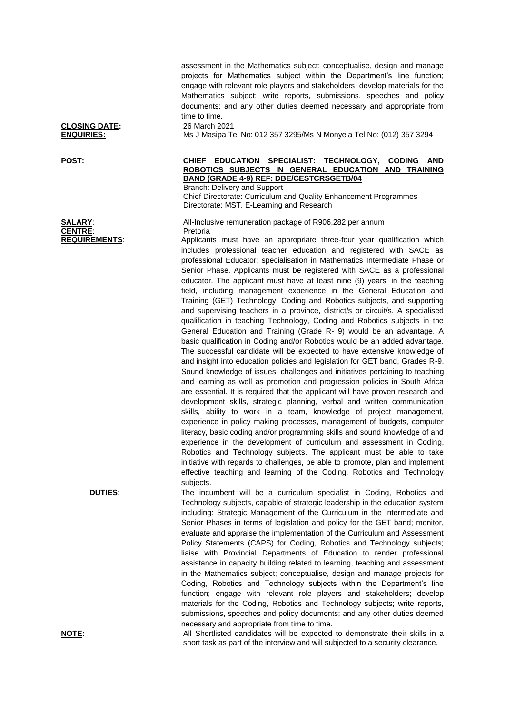assessment in the Mathematics subject; conceptualise, design and manage projects for Mathematics subject within the Department's line function; engage with relevant role players and stakeholders; develop materials for the Mathematics subject; write reports, submissions, speeches and policy documents; and any other duties deemed necessary and appropriate from time to time.

**ENQUIRIES:** Ms J Masipa Tel No: 012 357 3295/Ms N Monyela Tel No: (012) 357 3294

## **POST: CHIEF EDUCATION SPECIALIST: TECHNOLOGY, CODING AND ROBOTICS SUBJECTS IN GENERAL EDUCATION AND TRAINING BAND (GRADE 4-9) REF: DBE/CESTCRSGETB/04** Branch: Delivery and Support

Chief Directorate: Curriculum and Quality Enhancement Programmes Directorate: MST, E-Learning and Research

**SALARY**: All-Inclusive remuneration package of R906.282 per annum

**REQUIREMENTS:** Applicants must have an appropriate three-four year qualification which includes professional teacher education and registered with SACE as professional Educator; specialisation in Mathematics Intermediate Phase or Senior Phase. Applicants must be registered with SACE as a professional educator. The applicant must have at least nine (9) years' in the teaching field, including management experience in the General Education and Training (GET) Technology, Coding and Robotics subjects, and supporting and supervising teachers in a province, district/s or circuit/s. A specialised qualification in teaching Technology, Coding and Robotics subjects in the General Education and Training (Grade R- 9) would be an advantage. A basic qualification in Coding and/or Robotics would be an added advantage. The successful candidate will be expected to have extensive knowledge of and insight into education policies and legislation for GET band, Grades R-9. Sound knowledge of issues, challenges and initiatives pertaining to teaching and learning as well as promotion and progression policies in South Africa are essential. It is required that the applicant will have proven research and development skills, strategic planning, verbal and written communication skills, ability to work in a team, knowledge of project management, experience in policy making processes, management of budgets, computer literacy, basic coding and/or programming skills and sound knowledge of and experience in the development of curriculum and assessment in Coding, Robotics and Technology subjects. The applicant must be able to take initiative with regards to challenges, be able to promote, plan and implement effective teaching and learning of the Coding, Robotics and Technology subjects.

**DUTIES:** The incumbent will be a curriculum specialist in Coding, Robotics and Technology subjects, capable of strategic leadership in the education system including: Strategic Management of the Curriculum in the Intermediate and Senior Phases in terms of legislation and policy for the GET band; monitor, evaluate and appraise the implementation of the Curriculum and Assessment Policy Statements (CAPS) for Coding, Robotics and Technology subjects; liaise with Provincial Departments of Education to render professional assistance in capacity building related to learning, teaching and assessment in the Mathematics subject; conceptualise, design and manage projects for Coding, Robotics and Technology subjects within the Department's line function; engage with relevant role players and stakeholders; develop materials for the Coding, Robotics and Technology subjects; write reports, submissions, speeches and policy documents; and any other duties deemed necessary and appropriate from time to time.

**NOTE:** All Shortlisted candidates will be expected to demonstrate their skills in a short task as part of the interview and will subjected to a security clearance.

**CLOSING DATE:** 26 March 2021

**CENTRE:** Pretoria